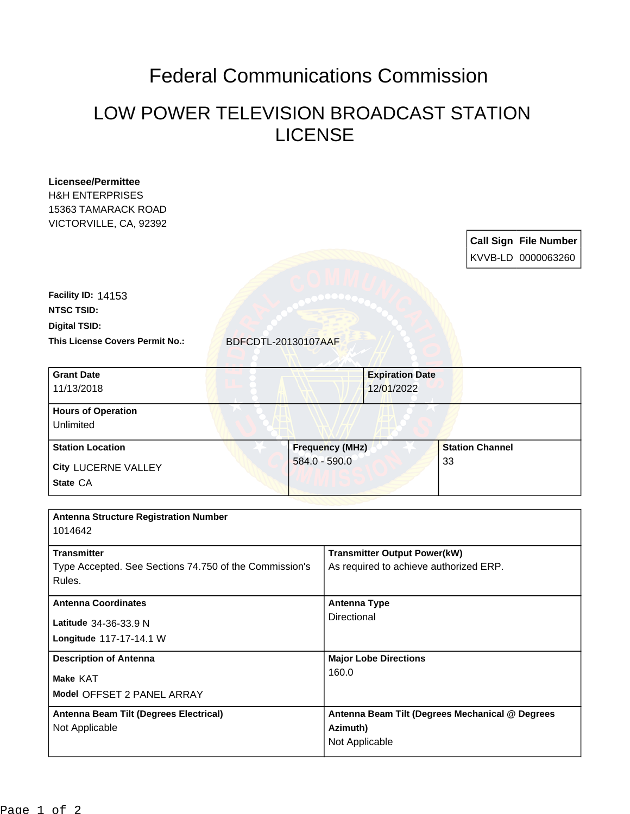## Federal Communications Commission

## LOW POWER TELEVISION BROADCAST STATION LICENSE

| <b>Licensee/Permittee</b><br><b>H&amp;H ENTERPRISES</b><br>15363 TAMARACK ROAD<br>VICTORVILLE, CA, 92392 |                        |                 |                                                                               |                                                 |                                                    |  |
|----------------------------------------------------------------------------------------------------------|------------------------|-----------------|-------------------------------------------------------------------------------|-------------------------------------------------|----------------------------------------------------|--|
|                                                                                                          |                        |                 |                                                                               |                                                 | <b>Call Sign File Number</b><br>KVVB-LD 0000063260 |  |
| Facility ID: 14153                                                                                       |                        |                 |                                                                               |                                                 |                                                    |  |
| <b>NTSC TSID:</b>                                                                                        |                        |                 |                                                                               |                                                 |                                                    |  |
| <b>Digital TSID:</b>                                                                                     |                        |                 |                                                                               |                                                 |                                                    |  |
| This License Covers Permit No.:                                                                          | BDFCDTL-20130107AAF    |                 |                                                                               |                                                 |                                                    |  |
| <b>Grant Date</b><br>11/13/2018                                                                          |                        |                 | <b>Expiration Date</b><br>12/01/2022                                          |                                                 |                                                    |  |
| <b>Hours of Operation</b><br>Unlimited                                                                   |                        |                 |                                                                               |                                                 |                                                    |  |
| <b>Station Location</b>                                                                                  | <b>Frequency (MHz)</b> |                 |                                                                               | <b>Station Channel</b>                          |                                                    |  |
| City LUCERNE VALLEY                                                                                      |                        | $584.0 - 590.0$ |                                                                               | 33                                              |                                                    |  |
| State CA                                                                                                 |                        |                 |                                                                               |                                                 |                                                    |  |
| <b>Antenna Structure Registration Number</b><br>1014642                                                  |                        |                 |                                                                               |                                                 |                                                    |  |
| <b>Transmitter</b><br>Type Accepted. See Sections 74.750 of the Commission's<br>Rules.                   |                        |                 | <b>Transmitter Output Power(kW)</b><br>As required to achieve authorized ERP. |                                                 |                                                    |  |
| <b>Antenna Coordinates</b>                                                                               |                        |                 | <b>Antenna Type</b>                                                           |                                                 |                                                    |  |
| Latitude 34-36-33.9 N                                                                                    |                        |                 | Directional                                                                   |                                                 |                                                    |  |
| Longitude 117-17-14.1 W                                                                                  |                        |                 |                                                                               |                                                 |                                                    |  |
| <b>Description of Antenna</b>                                                                            |                        |                 | <b>Major Lobe Directions</b>                                                  |                                                 |                                                    |  |
| Make KAT                                                                                                 |                        | 160.0           |                                                                               |                                                 |                                                    |  |
| Model OFFSET 2 PANEL ARRAY                                                                               |                        |                 |                                                                               |                                                 |                                                    |  |
| Antenna Beam Tilt (Degrees Electrical)                                                                   |                        |                 |                                                                               | Antenna Beam Tilt (Degrees Mechanical @ Degrees |                                                    |  |
| Not Applicable                                                                                           |                        |                 | Azimuth)<br>Not Applicable                                                    |                                                 |                                                    |  |